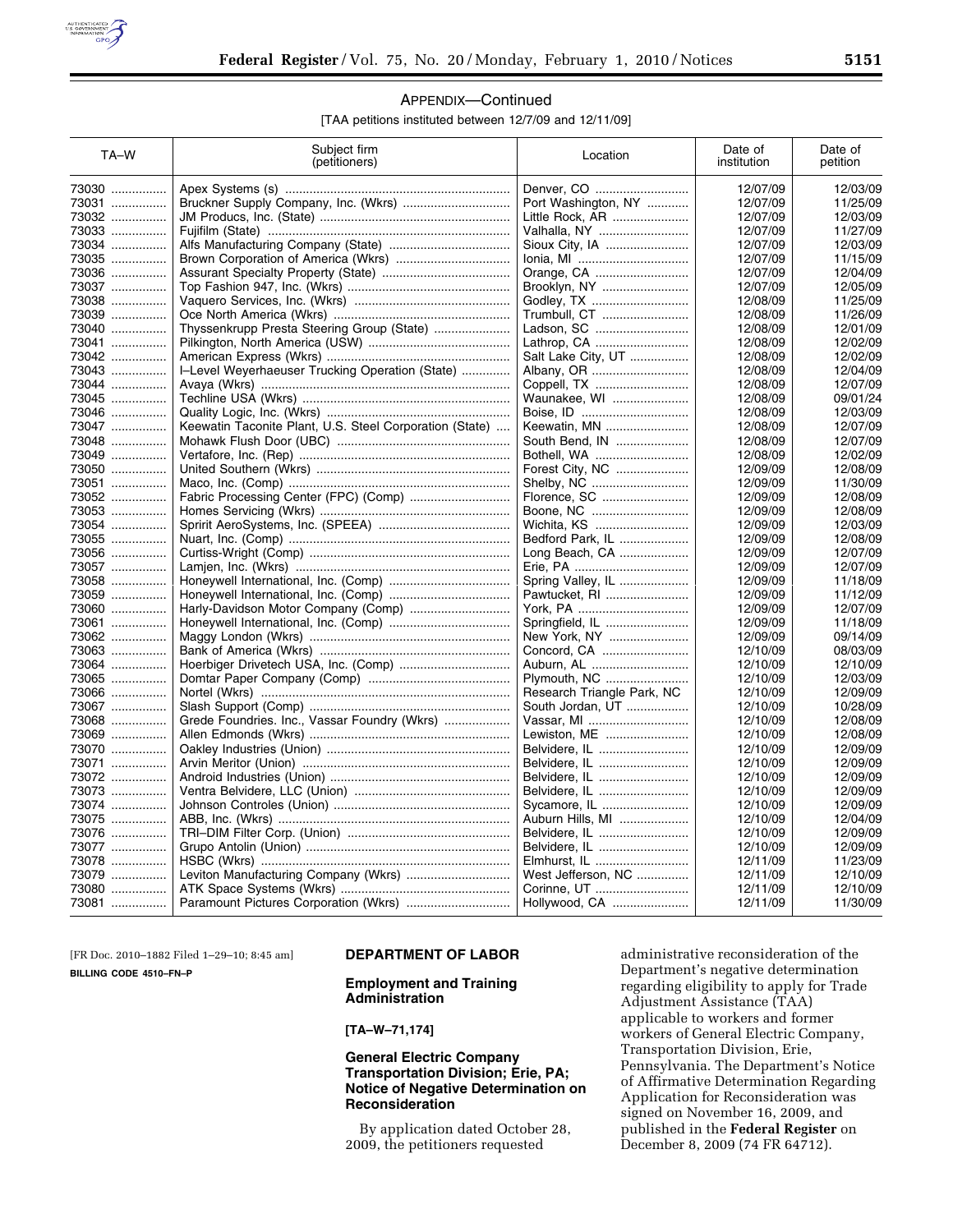

# APPENDIX—Continued

[TAA petitions instituted between 12/7/09 and 12/11/09]

| TA-W  | Subject firm<br>(petitioners)                           | Location                   | Date of<br>institution | Date of<br>petition |
|-------|---------------------------------------------------------|----------------------------|------------------------|---------------------|
| 73030 |                                                         | Denver, CO                 | 12/07/09               | 12/03/09            |
| 73031 |                                                         | Port Washington, NY        | 12/07/09               | 11/25/09            |
| 73032 |                                                         | Little Rock, AR            | 12/07/09               | 12/03/09            |
| 73033 |                                                         | Valhalla, NY               | 12/07/09               | 11/27/09            |
| 73034 |                                                         | Sioux City, IA             | 12/07/09               | 12/03/09            |
| 73035 |                                                         | lonia, MI                  | 12/07/09               | 11/15/09            |
| 73036 |                                                         | Orange, CA                 | 12/07/09               | 12/04/09            |
| 73037 |                                                         | Brooklyn, NY               | 12/07/09               | 12/05/09            |
| 73038 |                                                         | Godley, TX                 | 12/08/09               | 11/25/09            |
| 73039 |                                                         | Trumbull, CT               | 12/08/09               | 11/26/09            |
| 73040 | Thyssenkrupp Presta Steering Group (State)              | Ladson, SC                 | 12/08/09               | 12/01/09            |
| 73041 |                                                         | Lathrop, CA                | 12/08/09               | 12/02/09            |
| 73042 |                                                         | Salt Lake City, UT         | 12/08/09               | 12/02/09            |
| 73043 | I-Level Weyerhaeuser Trucking Operation (State)         | Albany, OR                 | 12/08/09               | 12/04/09            |
| 73044 |                                                         | Coppell, TX                | 12/08/09               | 12/07/09            |
| 73045 |                                                         | Waunakee, WI               | 12/08/09               | 09/01/24            |
| 73046 |                                                         | Boise, ID                  | 12/08/09               | 12/03/09            |
| 73047 | Keewatin Taconite Plant, U.S. Steel Corporation (State) | Keewatin, MN               | 12/08/09               | 12/07/09            |
| 73048 |                                                         | South Bend, IN             | 12/08/09               | 12/07/09            |
| 73049 |                                                         | Bothell, WA                | 12/08/09               | 12/02/09            |
| 73050 |                                                         | Forest City, NC            | 12/09/09               | 12/08/09            |
| 73051 |                                                         | Shelby, NC                 | 12/09/09               | 11/30/09            |
| 73052 |                                                         | Florence, SC               | 12/09/09               | 12/08/09            |
| 73053 |                                                         | Boone, NC                  | 12/09/09               | 12/08/09            |
| 73054 |                                                         | Wichita, KS                | 12/09/09               | 12/03/09            |
| 73055 |                                                         | Bedford Park, IL           | 12/09/09               | 12/08/09            |
| 73056 |                                                         | Long Beach, CA             | 12/09/09               | 12/07/09            |
| 73057 |                                                         | Erie, PA                   | 12/09/09               | 12/07/09            |
| 73058 |                                                         | Spring Valley, IL          | 12/09/09               | 11/18/09            |
| 73059 |                                                         | Pawtucket, RI              | 12/09/09               | 11/12/09            |
| 73060 |                                                         | York, PA                   | 12/09/09               | 12/07/09            |
| 73061 |                                                         | Springfield, IL            | 12/09/09               | 11/18/09            |
| 73062 |                                                         | New York, NY               | 12/09/09               | 09/14/09            |
| 73063 |                                                         | Concord, CA                | 12/10/09               | 08/03/09            |
| 73064 |                                                         | Auburn, AL                 | 12/10/09               | 12/10/09            |
| 73065 |                                                         | Plymouth, NC               | 12/10/09               | 12/03/09            |
| 73066 |                                                         | Research Triangle Park, NC | 12/10/09               | 12/09/09            |
| 73067 |                                                         | South Jordan, UT           | 12/10/09               | 10/28/09            |
| 73068 | Grede Foundries. Inc., Vassar Foundry (Wkrs)            | Vassar, MI                 | 12/10/09               | 12/08/09            |
| 73069 |                                                         | Lewiston, ME               | 12/10/09               | 12/08/09            |
| 73070 |                                                         | Belvidere, IL              | 12/10/09               | 12/09/09            |
| 73071 |                                                         | Belvidere, IL              | 12/10/09               | 12/09/09            |
| 73072 |                                                         | Belvidere, IL              | 12/10/09               | 12/09/09            |
| 73073 |                                                         | Belvidere, IL              | 12/10/09               | 12/09/09            |
| 73074 |                                                         | Sycamore, IL               | 12/10/09               | 12/09/09            |
| 73075 |                                                         | Auburn Hills, MI           | 12/10/09               | 12/04/09            |
| 73076 |                                                         | Belvidere, IL              | 12/10/09               | 12/09/09            |
| 73077 |                                                         | Belvidere, IL              | 12/10/09               | 12/09/09            |
| 73078 |                                                         | Elmhurst, IL               | 12/11/09               | 11/23/09            |
| 73079 |                                                         | West Jefferson, NC         | 12/11/09               | 12/10/09            |
| 73080 |                                                         | Corinne, UT                | 12/11/09               | 12/10/09            |
| 73081 |                                                         | Hollywood, CA              | 12/11/09               | 11/30/09            |
|       |                                                         |                            |                        |                     |

[FR Doc. 2010–1882 Filed 1–29–10; 8:45 am] **BILLING CODE 4510–FN–P** 

## **DEPARTMENT OF LABOR**

## **Employment and Training Administration**

**[TA–W–71,174]** 

## **General Electric Company Transportation Division; Erie, PA; Notice of Negative Determination on Reconsideration**

By application dated October 28, 2009, the petitioners requested

administrative reconsideration of the Department's negative determination regarding eligibility to apply for Trade Adjustment Assistance (TAA) applicable to workers and former workers of General Electric Company, Transportation Division, Erie, Pennsylvania. The Department's Notice of Affirmative Determination Regarding Application for Reconsideration was signed on November 16, 2009, and published in the **Federal Register** on December 8, 2009 (74 FR 64712).